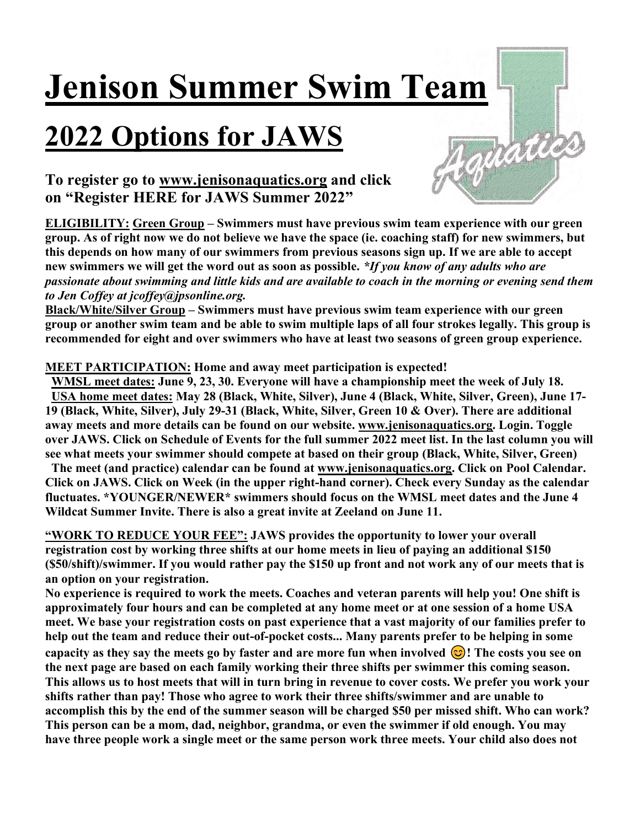# Jenison Summer Swim Team

# 2022 Options for JAWS



## To register go to www.jenisonaquatics.org and click on "Register HERE for JAWS Summer 2022"

ELIGIBILITY: Green Group – Swimmers must have previous swim team experience with our green group. As of right now we do not believe we have the space (ie. coaching staff) for new swimmers, but this depends on how many of our swimmers from previous seasons sign up. If we are able to accept new swimmers we will get the word out as soon as possible. \*If you know of any adults who are passionate about swimming and little kids and are available to coach in the morning or evening send them to Jen Coffey at jcoffey@jpsonline.org.

Black/White/Silver Group – Swimmers must have previous swim team experience with our green group or another swim team and be able to swim multiple laps of all four strokes legally. This group is recommended for eight and over swimmers who have at least two seasons of green group experience.

### MEET PARTICIPATION: Home and away meet participation is expected!

 WMSL meet dates: June 9, 23, 30. Everyone will have a championship meet the week of July 18. USA home meet dates: May 28 (Black, White, Silver), June 4 (Black, White, Silver, Green), June 17- 19 (Black, White, Silver), July 29-31 (Black, White, Silver, Green 10 & Over). There are additional away meets and more details can be found on our website. www.jenisonaquatics.org. Login. Toggle over JAWS. Click on Schedule of Events for the full summer 2022 meet list. In the last column you will see what meets your swimmer should compete at based on their group (Black, White, Silver, Green)

 The meet (and practice) calendar can be found at www.jenisonaquatics.org. Click on Pool Calendar. Click on JAWS. Click on Week (in the upper right-hand corner). Check every Sunday as the calendar fluctuates. \*YOUNGER/NEWER\* swimmers should focus on the WMSL meet dates and the June 4 Wildcat Summer Invite. There is also a great invite at Zeeland on June 11.

"WORK TO REDUCE YOUR FEE": JAWS provides the opportunity to lower your overall registration cost by working three shifts at our home meets in lieu of paying an additional \$150 (\$50/shift)/swimmer. If you would rather pay the \$150 up front and not work any of our meets that is an option on your registration.

No experience is required to work the meets. Coaches and veteran parents will help you! One shift is approximately four hours and can be completed at any home meet or at one session of a home USA meet. We base your registration costs on past experience that a vast majority of our families prefer to help out the team and reduce their out-of-pocket costs... Many parents prefer to be helping in some capacity as they say the meets go by faster and are more fun when involved  $\odot$ ! The costs you see on the next page are based on each family working their three shifts per swimmer this coming season. This allows us to host meets that will in turn bring in revenue to cover costs. We prefer you work your shifts rather than pay! Those who agree to work their three shifts/swimmer and are unable to accomplish this by the end of the summer season will be charged \$50 per missed shift. Who can work? This person can be a mom, dad, neighbor, grandma, or even the swimmer if old enough. You may have three people work a single meet or the same person work three meets. Your child also does not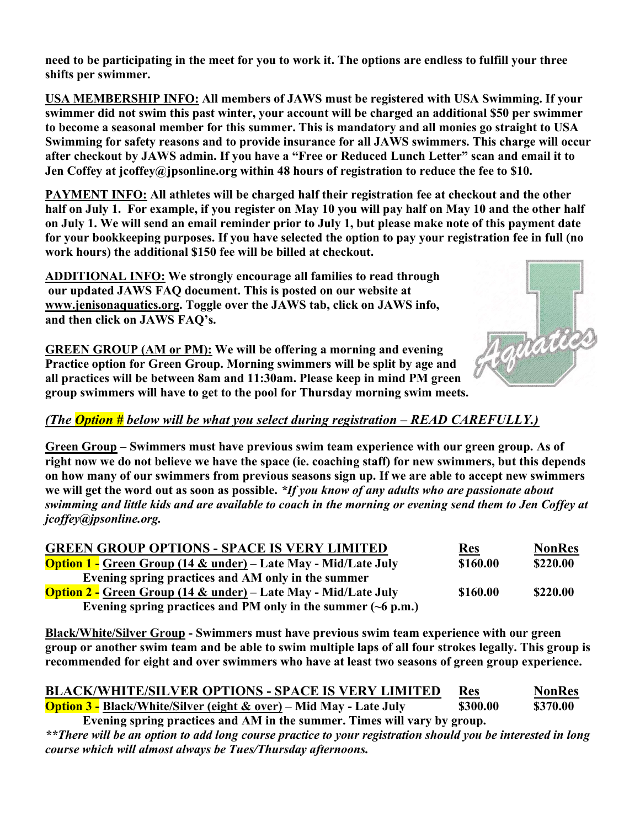need to be participating in the meet for you to work it. The options are endless to fulfill your three shifts per swimmer.

USA MEMBERSHIP INFO: All members of JAWS must be registered with USA Swimming. If your swimmer did not swim this past winter, your account will be charged an additional \$50 per swimmer to become a seasonal member for this summer. This is mandatory and all monies go straight to USA Swimming for safety reasons and to provide insurance for all JAWS swimmers. This charge will occur after checkout by JAWS admin. If you have a "Free or Reduced Lunch Letter" scan and email it to Jen Coffey at jcoffey@jpsonline.org within 48 hours of registration to reduce the fee to \$10.

PAYMENT INFO: All athletes will be charged half their registration fee at checkout and the other half on July 1. For example, if you register on May 10 you will pay half on May 10 and the other half on July 1. We will send an email reminder prior to July 1, but please make note of this payment date for your bookkeeping purposes. If you have selected the option to pay your registration fee in full (no work hours) the additional \$150 fee will be billed at checkout.

ADDITIONAL INFO: We strongly encourage all families to read through our updated JAWS FAQ document. This is posted on our website at www.jenisonaquatics.org. Toggle over the JAWS tab, click on JAWS info, and then click on JAWS FAQ's.



GREEN GROUP (AM or PM): We will be offering a morning and evening Practice option for Green Group. Morning swimmers will be split by age and all practices will be between 8am and 11:30am. Please keep in mind PM green group swimmers will have to get to the pool for Thursday morning swim meets.

### (The **Option** # below will be what you select during registration – READ CAREFULLY.)

Green Group – Swimmers must have previous swim team experience with our green group. As of right now we do not believe we have the space (ie. coaching staff) for new swimmers, but this depends on how many of our swimmers from previous seasons sign up. If we are able to accept new swimmers we will get the word out as soon as possible. \*If you know of any adults who are passionate about swimming and little kids and are available to coach in the morning or evening send them to Jen Coffey at jcoffey@jpsonline.org.

| <b>GREEN GROUP OPTIONS - SPACE IS VERY LIMITED</b>                         | <u>Res</u> | <b>NonRes</b> |
|----------------------------------------------------------------------------|------------|---------------|
| <b>Option 1 - Green Group (14 &amp; under) – Late May - Mid/Late July</b>  | \$160.00   | \$220.00      |
| Evening spring practices and AM only in the summer                         |            |               |
| <b>Option 2 - Green Group (14 &amp; under) – Late May - Mid/Late July</b>  | \$160.00   | \$220.00      |
| Evening spring practices and PM only in the summer $(\sim 6 \text{ p.m.})$ |            |               |

Black/White/Silver Group - Swimmers must have previous swim team experience with our green group or another swim team and be able to swim multiple laps of all four strokes legally. This group is recommended for eight and over swimmers who have at least two seasons of green group experience.

| <b>BLACK/WHITE/SILVER OPTIONS - SPACE IS VERY LIMITED</b>                     | <b>Res</b> | <b>NonRes</b> |
|-------------------------------------------------------------------------------|------------|---------------|
| <b>Option 3 - Black/White/Silver (eight &amp; over)</b> – Mid May - Late July | \$300.00   | \$370.00      |
| Evening spring practices and AM in the summer. Times will vary by group.      |            |               |

\*\*There will be an option to add long course practice to your registration should you be interested in long course which will almost always be Tues/Thursday afternoons.